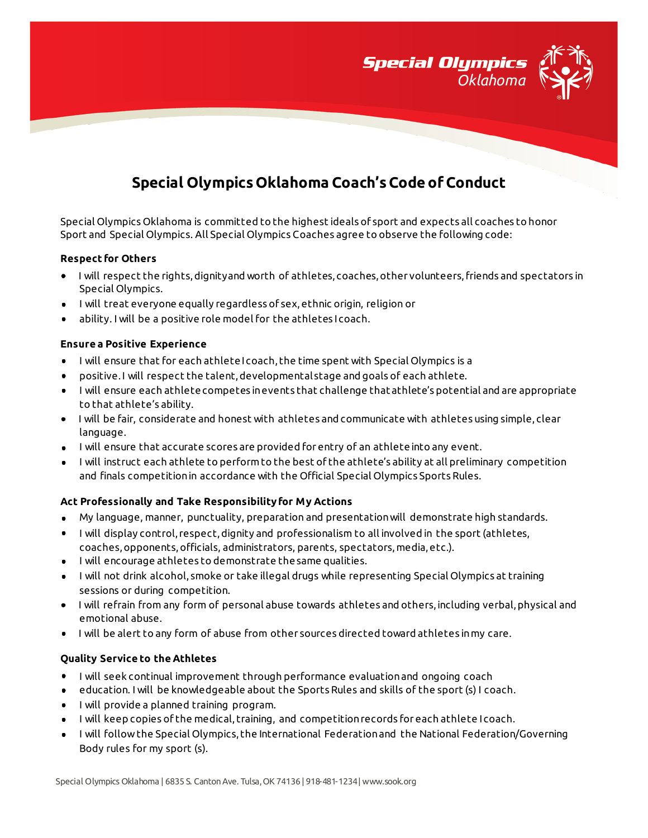

# **Special Olympics Oklahoma Coach's Code of Conduct**

Special Olympics Oklahoma is committed to the highest ideals of sport and expects all coaches to honor Sport and Special Olympics. All Special Olympics Coaches agree to observe the following code:

#### **Respect for Others**

- $\bullet$  I will respect the rights, dignityand worth of athletes, coaches, other volunteers, friends and spectators in Special Olympics.
- I will treat everyone equally regardless of sex, ethnic origin, religion or
- ability. I will be a positive role model for the athletes I coach.  $\bullet$

#### **Ensure a Positive Experience**

- I will ensure that for each athlete I coach, the time spent with Special Olympics is a
- positive. I will respect the talent, developmental stage and goals of each athlete.
- I will ensure each athlete competes in events that challenge that athlete's potential and are appropriate to that athlete's ability.
- $\bullet$  I will be fair, considerate and honest with athletes and communicate with athletes using simple, clear language.
- $\bullet$  I will ensure that accurate scores are provided for entry of an athlete into any event.
- $\bullet$  I will instruct each athlete to perform to the best of the athlete's ability at all preliminary competition and finals competition in accordance with the Official Special Olympics Sports Rules.

## **Act Professionally and Take Responsibility for My Actions**

- My language, manner, punctuality, preparation and presentation will demonstrate high standards.
- I will display control, respect, dignity and professionalism to all involved in the sport (athletes, coaches, opponents, officials, administrators, parents, spectators, media, etc.).
- I will encourage athletes to demonstrate the same qualities.
- I will not drink alcohol, smoke or take illegal drugs while representing Special Olympics at training sessions or during competition.
- I will refrain from any form of personal abuse towards athletes and others, including verbal, physical and emotional abuse.
- I will be alert to any form of abuse from other sources directed toward athletes in my care.

## **Quality Service to the Athletes**

- I will seek continual improvement through performance evaluation and ongoing coach
- education. I will be knowledgeable about the Sports Rules and skills of the sport (s) I coach.
- $\bullet$  I will provide a planned training program.
- I will keep copies of the medical, training, and competition records for each athlete I coach.
- I will follow the Special Olympics, the International Federation and the National Federation/Governing Body rules for my sport (s).